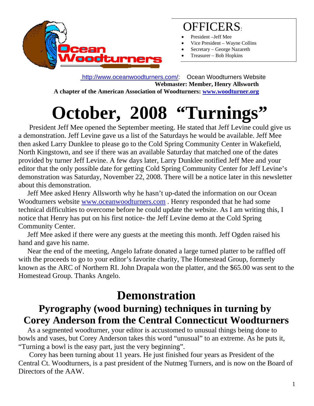

## OFFICERS:

- President –Jeff Mee
- Vice President Wayne Collins
- Secretary George Nazareth
- Treasurer Bob Hopkins

 http://www.oceanwoodturners.com/: Ocean Woodturners Website **Webmaster: Member, Henry Allsworth A chapter of the American Association of Woodturners: www.woodturner.org** 

# **October, 2008 "Turnings"**

 President Jeff Mee opened the September meeting. He stated that Jeff Levine could give us a demonstration. Jeff Levine gave us a list of the Saturdays he would be available. Jeff Mee then asked Larry Dunklee to please go to the Cold Spring Community Center in Wakefield, North Kingstown, and see if there was an available Saturday that matched one of the dates provided by turner Jeff Levine. A few days later, Larry Dunklee notified Jeff Mee and your editor that the only possible date for getting Cold Spring Community Center for Jeff Levine's demonstration was Saturday, November 22, 2008. There will be a notice later in this newsletter about this demonstration.

 Jeff Mee asked Henry Allsworth why he hasn't up-dated the information on our Ocean Woodturners website www.oceanwoodturners.com . Henry responded that he had some technical difficulties to overcome before he could update the website. As I am writing this, I notice that Henry has put on his first notice- the Jeff Levine demo at the Cold Spring Community Center.

 Jeff Mee asked if there were any guests at the meeting this month. Jeff Ogden raised his hand and gave his name.

 Near the end of the meeting, Angelo Iafrate donated a large turned platter to be raffled off with the proceeds to go to your editor's favorite charity, The Homestead Group, formerly known as the ARC of Northern RI. John Drapala won the platter, and the \$65.00 was sent to the Homestead Group. Thanks Angelo.

# **Demonstration**

#### **Pyrography (wood burning) techniques in turning by Corey Anderson from the Central Connecticut Woodturners**

 As a segmented woodturner, your editor is accustomed to unusual things being done to bowls and vases, but Corey Anderson takes this word "unusual" to an extreme. As he puts it, "Turning a bowl is the easy part, just the very beginning".

 Corey has been turning about 11 years. He just finished four years as President of the Central Ct. Woodturners, is a past president of the Nutmeg Turners, and is now on the Board of Directors of the AAW.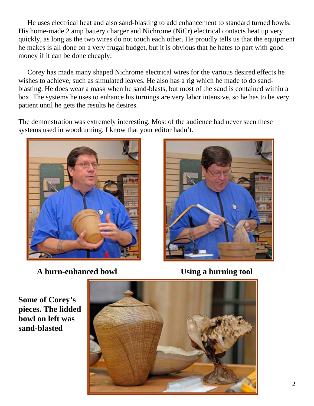He uses electrical heat and also sand-blasting to add enhancement to standard turned bowls. His home-made 2 amp battery charger and Nichrome (NiCr) electrical contacts heat up very quickly, as long as the two wires do not touch each other. He proudly tells us that the equipment he makes is all done on a very frugal budget, but it is obvious that he hates to part with good money if it can be done cheaply.

 Corey has made many shaped Nichrome electrical wires for the various desired effects he wishes to achieve, such as simulated leaves. He also has a rig which he made to do sandblasting. He does wear a mask when he sand-blasts, but most of the sand is contained within a box. The systems he uses to enhance his turnings are very labor intensive, so he has to be very patient until he gets the results he desires.

The demonstration was extremely interesting. Most of the audience had never seen these systems used in woodturning. I know that your editor hadn't.



**A burn-enhanced bowl Using a burning tool** 



**Some of Corey's pieces. The lidded bowl on left was sand-blasted**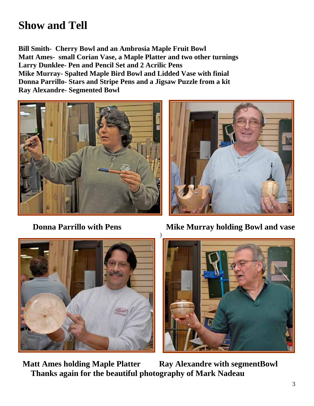## **Show and Tell**

**Bill Smith- Cherry Bowl and an Ambrosia Maple Fruit Bowl Matt Ames- small Corian Vase, a Maple Platter and two other turnings Larry Dunklee- Pen and Pencil Set and 2 Acrilic Pens Mike Murray- Spalted Maple Bird Bowl and Lidded Vase with finial Donna Parrillo- Stars and Stripe Pens and a Jigsaw Puzzle from a kit Ray Alexandre- Segmented Bowl** 







**Donna Parrillo with Pens Mike Murray holding Bowl and vase** 



**Matt Ames holding Maple Platter Ray Alexandre with segmentBowl Thanks again for the beautiful photography of Mark Nadeau**